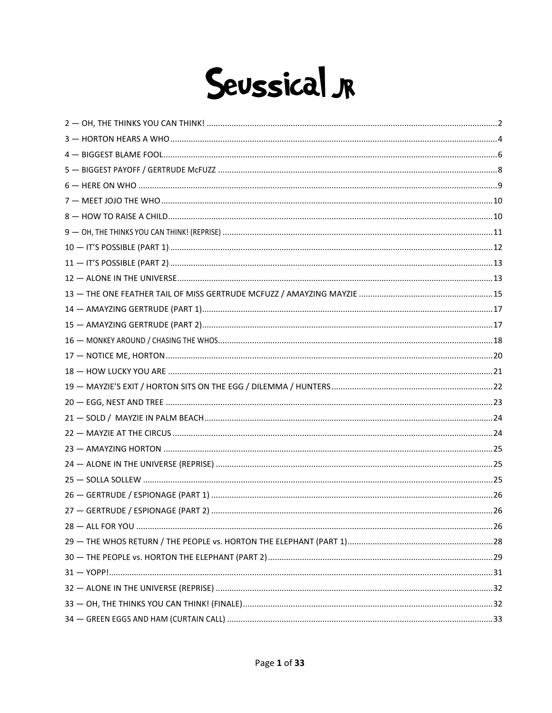# Seussical r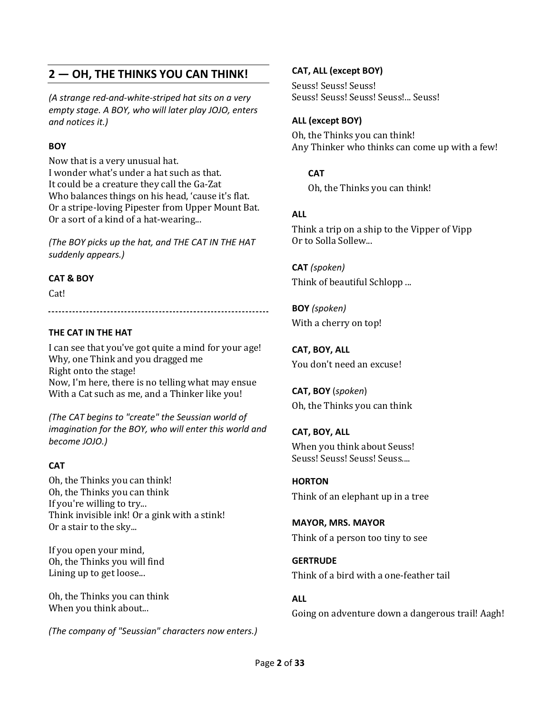# <span id="page-1-0"></span>**2 — OH, THE THINKS YOU CAN THINK!**

*(A strange red-and-white-striped hat sits on a very empty stage. A BOY, who will later play JOJO, enters and notices it.)*

#### **BOY**

Now that is a very unusual hat. I wonder what's under a hat such as that. It could be a creature they call the Ga-Zat Who balances things on his head, 'cause it's flat. Or a stripe-loving Pipester from Upper Mount Bat. Or a sort of a kind of a hat-wearing...

*(The BOY picks up the hat, and THE CAT IN THE HAT suddenly appears.)*

#### **CAT & BOY**

Cat!

#### **THE CAT IN THE HAT**

I can see that you've got quite a mind for your age! Why, one Think and you dragged me Right onto the stage! Now, I'm here, there is no telling what may ensue With a Cat such as me, and a Thinker like you!

*(The CAT begins to "create" the Seussian world of imagination for the BOY, who will enter this world and become JOJO.)*

### **CAT**

Oh, the Thinks you can think! Oh, the Thinks you can think If you're willing to try... Think invisible ink! Or a gink with a stink! Or a stair to the sky...

If you open your mind, Oh, the Thinks you will find Lining up to get loose...

Oh, the Thinks you can think When you think about...

*(The company of "Seussian" characters now enters.)*

#### **CAT, ALL (except BOY)**

Seuss! Seuss! Seuss! Seuss! Seuss! Seuss! Seuss!... Seuss!

#### **ALL (except BOY)**

Oh, the Thinks you can think! Any Thinker who thinks can come up with a few!

#### **CAT**

Oh, the Thinks you can think!

#### **ALL**

Think a trip on a ship to the Vipper of Vipp Or to Solla Sollew...

**CAT** *(spoken)* Think of beautiful Schlopp ...

**BOY** *(spoken)* With a cherry on top!

**CAT, BOY, ALL**  You don't need an excuse!

**CAT, BOY** (*spoken*) Oh, the Thinks you can think

**CAT, BOY, ALL**  When you think about Seuss! Seuss! Seuss! Seuss! Seuss....

**HORTON**  Think of an elephant up in a tree

**MAYOR, MRS. MAYOR**  Think of a person too tiny to see

**GERTRUDE**  Think of a bird with a one-feather tail

**ALL**  Going on adventure down a dangerous trail! Aagh!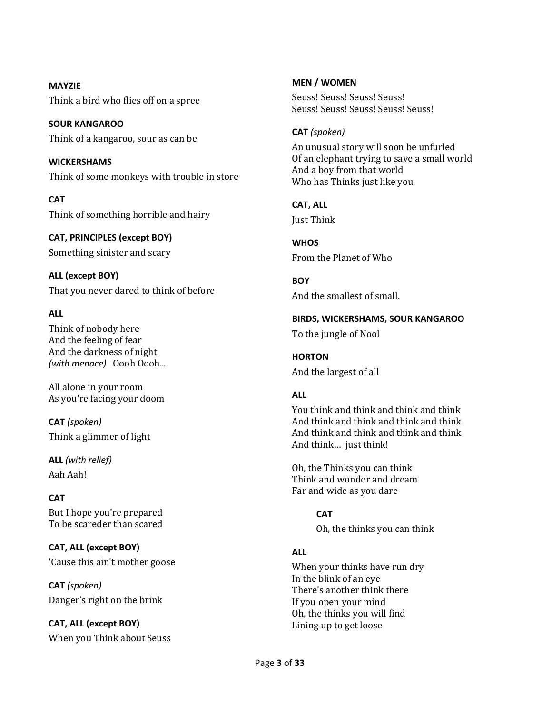**MAYZIE**  Think a bird who flies off on a spree

**SOUR KANGAROO**  Think of a kangaroo, sour as can be

**WICKERSHAMS** Think of some monkeys with trouble in store

**CAT** Think of something horrible and hairy

**CAT, PRINCIPLES (except BOY)** Something sinister and scary

**ALL (except BOY)** That you never dared to think of before

#### **ALL**

Think of nobody here And the feeling of fear And the darkness of night *(with menace)* Oooh Oooh...

All alone in your room As you're facing your doom

**CAT** *(spoken)* Think a glimmer of light

**ALL** *(with relief)* Aah Aah!

### **CAT**

But I hope you're prepared To be scareder than scared

**CAT, ALL (except BOY)** 'Cause this ain't mother goose

**CAT** *(spoken)* Danger's right on the brink

**CAT, ALL (except BOY)** When you Think about Seuss

#### **MEN / WOMEN**

Seuss! Seuss! Seuss! Seuss! Seuss! Seuss! Seuss! Seuss! Seuss!

#### **CAT** *(spoken)*

An unusual story will soon be unfurled Of an elephant trying to save a small world And a boy from that world Who has Thinks just like you

**CAT, ALL** Just Think

**WHOS** From the Planet of Who

**BOY** And the smallest of small.

**BIRDS, WICKERSHAMS, SOUR KANGAROO**

To the jungle of Nool

**HORTON** And the largest of all

### **ALL**

You think and think and think and think And think and think and think and think And think and think and think and think And think… just think!

Oh, the Thinks you can think Think and wonder and dream Far and wide as you dare

### **CAT**

Oh, the thinks you can think

### **ALL**

When your thinks have run dry In the blink of an eye There's another think there If you open your mind Oh, the thinks you will find Lining up to get loose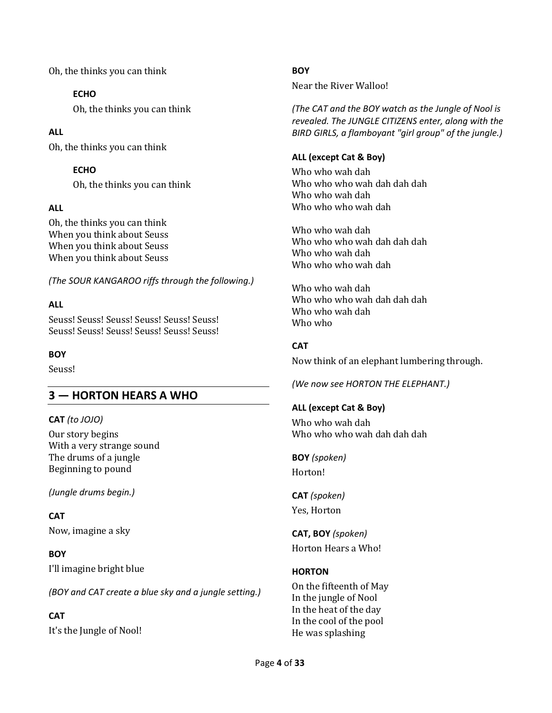Oh, the thinks you can think

#### **ECHO**

Oh, the thinks you can think

# **ALL**

Oh, the thinks you can think

# **ECHO**

Oh, the thinks you can think

### **ALL**

Oh, the thinks you can think When you think about Seuss When you think about Seuss When you think about Seuss

*(The SOUR KANGAROO riffs through the following.)*

# **ALL**

Seuss! Seuss! Seuss! Seuss! Seuss! Seuss! Seuss! Seuss! Seuss! Seuss! Seuss! Seuss!

#### **BOY**

Seuss!

# <span id="page-3-0"></span>**3 — HORTON HEARS A WHO**

### **CAT** *(to JOJO)*

Our story begins With a very strange sound The drums of a jungle Beginning to pound

*(Jungle drums begin.)*

**CAT** Now, imagine a sky

**BOY** I'll imagine bright blue

*(BOY and CAT create a blue sky and a jungle setting.)*

# **CAT**

It's the Jungle of Nool!

# **BOY**

Near the River Walloo!

*(The CAT and the BOY watch as the Jungle of Nool is revealed. The JUNGLE CITIZENS enter, along with the BIRD GIRLS, a flamboyant "girl group" of the jungle.)*

### **ALL (except Cat & Boy)**

Who who wah dah Who who who wah dah dah dah Who who wah dah Who who who wah dah

Who who wah dah Who who who wah dah dah dah Who who wah dah Who who who wah dah

Who who wah dah Who who who wah dah dah dah Who who wah dah Who who

# **CAT**

Now think of an elephant lumbering through.

*(We now see HORTON THE ELEPHANT.)*

# **ALL (except Cat & Boy)**

Who who wah dah Who who who wah dah dah dah

**BOY** *(spoken)* Horton!

**CAT** *(spoken)* Yes, Horton

**CAT, BOY** *(spoken)* Horton Hears a Who!

# **HORTON**

On the fifteenth of May In the jungle of Nool In the heat of the day In the cool of the pool He was splashing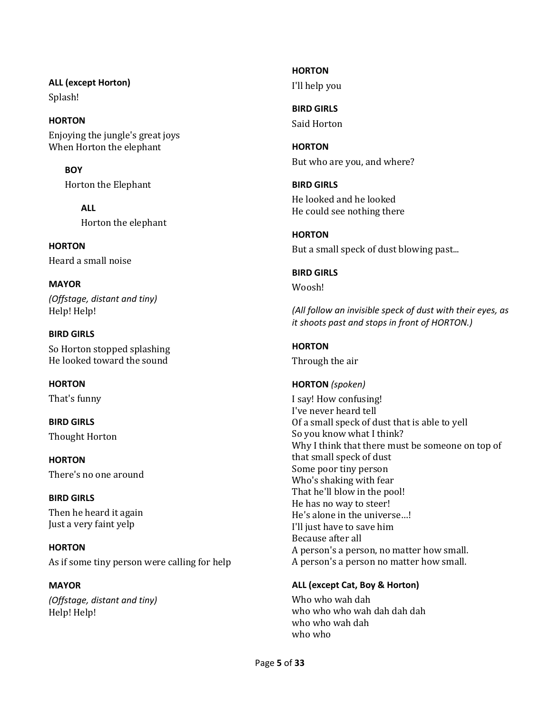### **ALL (except Horton)** Splash!

#### **HORTON**

Enjoying the jungle's great joys When Horton the elephant

#### **BOY**

Horton the Elephant

**ALL** Horton the elephant

**HORTON** Heard a small noise

#### **MAYOR**

*(Offstage, distant and tiny)* Help! Help!

#### **BIRD GIRLS**

So Horton stopped splashing He looked toward the sound

**HORTON**  That's funny

**BIRD GIRLS**  Thought Horton

**HORTON**  There's no one around

#### **BIRD GIRLS** Then he heard it again Just a very faint yelp

**HORTON**  As if some tiny person were calling for help

### **MAYOR**

*(Offstage, distant and tiny)* Help! Help!

**HORTON**  I'll help you

**BIRD GIRLS**  Said Horton

**HORTON**  But who are you, and where?

#### **BIRD GIRLS**  He looked and he looked He could see nothing there

**HORTON**  But a small speck of dust blowing past...

# **BIRD GIRLS**

Woosh!

*(All follow an invisible speck of dust with their eyes, as it shoots past and stops in front of HORTON.)*

#### **HORTON**

Through the air

### **HORTON** *(spoken)*

I say! How confusing! I've never heard tell Of a small speck of dust that is able to yell So you know what I think? Why I think that there must be someone on top of that small speck of dust Some poor tiny person Who's shaking with fear That he'll blow in the pool! He has no way to steer! He's alone in the universe…! I'll just have to save him Because after all A person's a person, no matter how small. A person's a person no matter how small.

#### **ALL (except Cat, Boy & Horton)**

Who who wah dah who who who wah dah dah dah who who wah dah who who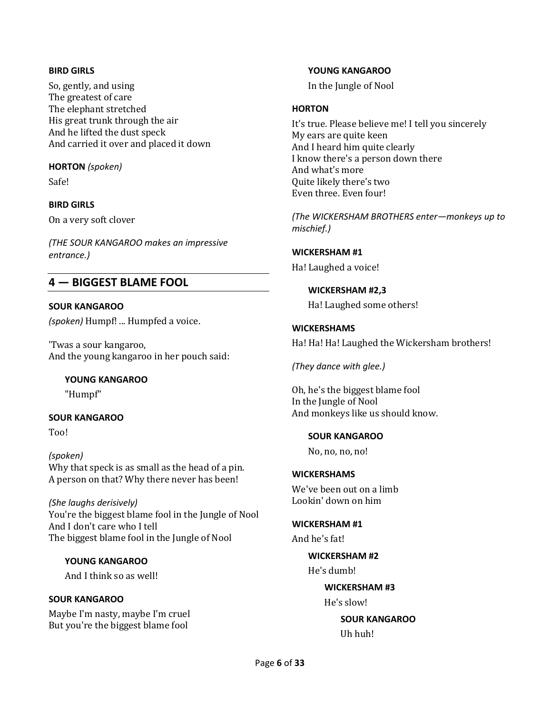#### **BIRD GIRLS**

So, gently, and using The greatest of care The elephant stretched His great trunk through the air And he lifted the dust speck And carried it over and placed it down

#### **HORTON** *(spoken)*

Safe!

#### **BIRD GIRLS**

On a very soft clover

*(THE SOUR KANGAROO makes an impressive entrance.)*

### <span id="page-5-0"></span>**4 — BIGGEST BLAME FOOL**

#### **SOUR KANGAROO**

*(spoken)* Humpf! ... Humpfed a voice.

'Twas a sour kangaroo, And the young kangaroo in her pouch said:

#### **YOUNG KANGAROO**

"Humpf"

#### **SOUR KANGAROO**

Too!

*(spoken)* Why that speck is as small as the head of a pin. A person on that? Why there never has been!

*(She laughs derisively)* You're the biggest blame fool in the Jungle of Nool And I don't care who I tell The biggest blame fool in the Jungle of Nool

#### **YOUNG KANGAROO**

And I think so as well!

#### **SOUR KANGAROO**

Maybe I'm nasty, maybe I'm cruel But you're the biggest blame fool

#### **YOUNG KANGAROO**

In the Jungle of Nool

#### **HORTON**

It's true. Please believe me! I tell you sincerely My ears are quite keen And I heard him quite clearly I know there's a person down there And what's more Quite likely there's two Even three. Even four!

*(The WICKERSHAM BROTHERS enter—monkeys up to mischief.)*

**WICKERSHAM #1** Ha! Laughed a voice!

> **WICKERSHAM #2,3**  Ha! Laughed some others!

#### **WICKERSHAMS**

Ha! Ha! Ha! Laughed the Wickersham brothers!

*(They dance with glee.)*

Oh, he's the biggest blame fool In the Jungle of Nool And monkeys like us should know.

#### **SOUR KANGAROO**

No, no, no, no!

#### **WICKERSHAMS**

We've been out on a limb Lookin' down on him

#### **WICKERSHAM #1**

And he's fat!

#### **WICKERSHAM #2**

He's dumb!

#### **WICKERSHAM #3**

He's slow!

**SOUR KANGAROO** Uh huh!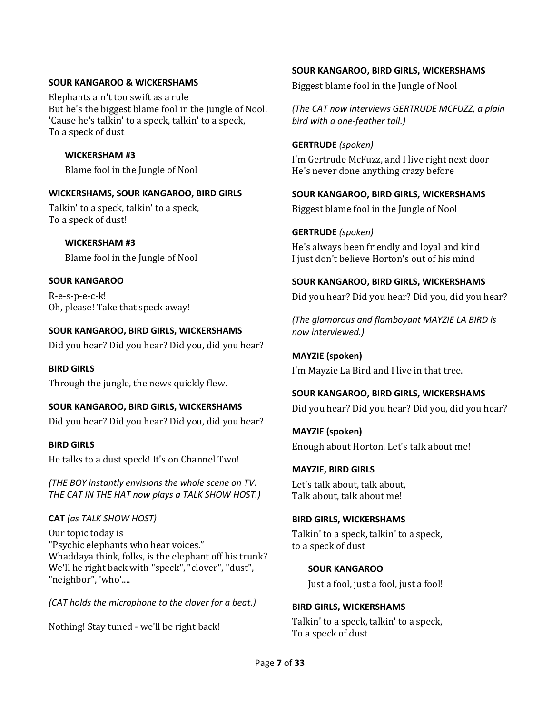#### **SOUR KANGAROO & WICKERSHAMS**

Elephants ain't too swift as a rule But he's the biggest blame fool in the Jungle of Nool. 'Cause he's talkin' to a speck, talkin' to a speck, To a speck of dust

#### **WICKERSHAM #3**

Blame fool in the Jungle of Nool

#### **WICKERSHAMS, SOUR KANGAROO, BIRD GIRLS**

Talkin' to a speck, talkin' to a speck, To a speck of dust!

#### **WICKERSHAM #3**

Blame fool in the Jungle of Nool

#### **SOUR KANGAROO**

R-e-s-p-e-c-k! Oh, please! Take that speck away!

#### **SOUR KANGAROO, BIRD GIRLS, WICKERSHAMS**

Did you hear? Did you hear? Did you, did you hear?

#### **BIRD GIRLS**

Through the jungle, the news quickly flew.

# **SOUR KANGAROO, BIRD GIRLS, WICKERSHAMS**

Did you hear? Did you hear? Did you, did you hear?

#### **BIRD GIRLS**

He talks to a dust speck! It's on Channel Two!

*(THE BOY instantly envisions the whole scene on TV. THE CAT IN THE HAT now plays a TALK SHOW HOST.)*

#### **CAT** *(as TALK SHOW HOST)*

Our topic today is "Psychic elephants who hear voices." Whaddaya think, folks, is the elephant off his trunk? We'll he right back with "speck", "clover", "dust", "neighbor", 'who'....

*(CAT holds the microphone to the clover for a beat.)* 

Nothing! Stay tuned - we'll be right back!

#### **SOUR KANGAROO, BIRD GIRLS, WICKERSHAMS**

Biggest blame fool in the Jungle of Nool

*(The CAT now interviews GERTRUDE MCFUZZ, a plain bird with a one-feather tail.)* 

#### **GERTRUDE** *(spoken)*

I'm Gertrude McFuzz, and I live right next door He's never done anything crazy before

#### **SOUR KANGAROO, BIRD GIRLS, WICKERSHAMS**

Biggest blame fool in the Jungle of Nool

#### **GERTRUDE** *(spoken)*

He's always been friendly and loyal and kind I just don't believe Horton's out of his mind

#### **SOUR KANGAROO, BIRD GIRLS, WICKERSHAMS**

Did you hear? Did you hear? Did you, did you hear?

*(The glamorous and flamboyant MAYZIE LA BIRD is now interviewed.)* 

**MAYZIE (spoken)** I'm Mayzie La Bird and I live in that tree.

# **SOUR KANGAROO, BIRD GIRLS, WICKERSHAMS**

Did you hear? Did you hear? Did you, did you hear?

**MAYZIE (spoken)** Enough about Horton. Let's talk about me!

# **MAYZIE, BIRD GIRLS**

Let's talk about, talk about, Talk about, talk about me!

#### **BIRD GIRLS, WICKERSHAMS**

Talkin' to a speck, talkin' to a speck, to a speck of dust

#### **SOUR KANGAROO**

Just a fool, just a fool, just a fool!

#### **BIRD GIRLS, WICKERSHAMS**

Talkin' to a speck, talkin' to a speck, To a speck of dust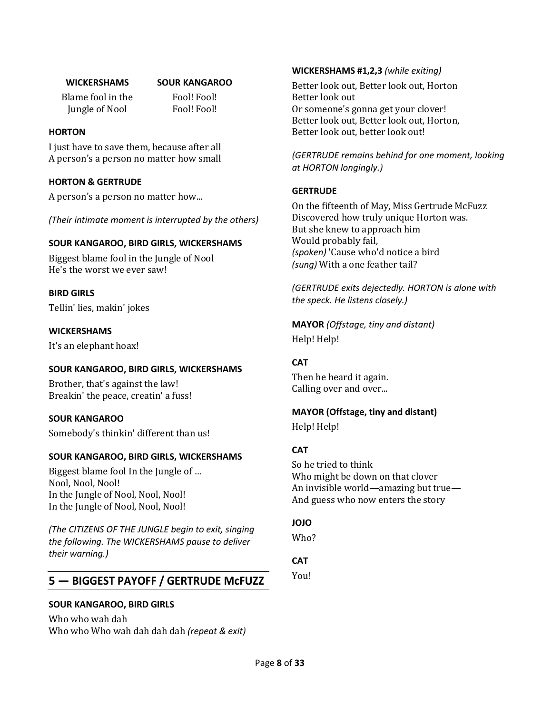#### **WICKERSHAMS SOUR KANGAROO**

Blame fool in the Fool! Fool!<br>Iungle of Nool Fool! Fool! Jungle of Nool

#### **HORTON**

I just have to save them, because after all A person's a person no matter how small

#### **HORTON & GERTRUDE**

A person's a person no matter how...

*(Their intimate moment is interrupted by the others)*

#### **SOUR KANGAROO, BIRD GIRLS, WICKERSHAMS**

Biggest blame fool in the Jungle of Nool He's the worst we ever saw!

#### **BIRD GIRLS**

Tellin' lies, makin' jokes

#### **WICKERSHAMS**

It's an elephant hoax!

#### **SOUR KANGAROO, BIRD GIRLS, WICKERSHAMS**

Brother, that's against the law! Breakin' the peace, creatin' a fuss!

#### **SOUR KANGAROO**

Somebody's thinkin' different than us!

#### **SOUR KANGAROO, BIRD GIRLS, WICKERSHAMS**

Biggest blame fool In the Jungle of … Nool, Nool, Nool! In the Jungle of Nool, Nool, Nool! In the Jungle of Nool, Nool, Nool!

*(The CITIZENS OF THE JUNGLE begin to exit, singing the following. The WICKERSHAMS pause to deliver their warning.)*

# <span id="page-7-0"></span>**5 — BIGGEST PAYOFF / GERTRUDE McFUZZ**

#### **SOUR KANGAROO, BIRD GIRLS**

Who who wah dah Who who Who wah dah dah dah *(repeat & exit)*

#### **WICKERSHAMS #1,2,3** *(while exiting)*

Better look out, Better look out, Horton Better look out Or someone's gonna get your clover! Better look out, Better look out, Horton, Better look out, better look out!

*(GERTRUDE remains behind for one moment, looking at HORTON longingly.)*

#### **GERTRUDE**

On the fifteenth of May, Miss Gertrude McFuzz Discovered how truly unique Horton was. But she knew to approach him Would probably fail, *(spoken)* 'Cause who'd notice a bird *(sung)* With a one feather tail?

*(GERTRUDE exits dejectedly. HORTON is alone with the speck. He listens closely.)*

**MAYOR** *(Offstage, tiny and distant)* Help! Help!

#### **CAT**

Then he heard it again. Calling over and over...

#### **MAYOR (Offstage, tiny and distant)**

Help! Help!

#### **CAT**

So he tried to think Who might be down on that clover An invisible world—amazing but true— And guess who now enters the story

#### **JOJO**

Wh<sub>o</sub>?

#### **CAT**

You!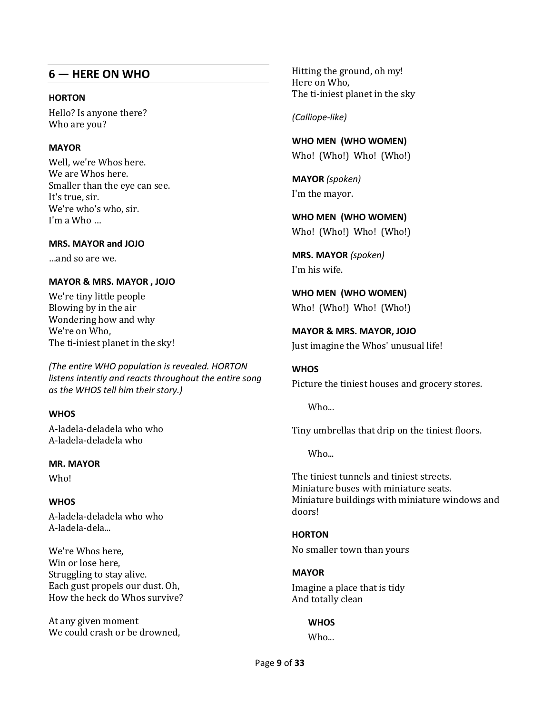# <span id="page-8-0"></span>**6 — HERE ON WHO**

#### **HORTON**

Hello? Is anyone there? Who are you?

#### **MAYOR**

Well, we're Whos here. We are Whos here. Smaller than the eye can see. It's true, sir. We're who's who, sir. I'm a Who …

#### **MRS. MAYOR and JOJO**

…and so are we.

#### **MAYOR & MRS. MAYOR , JOJO**

We're tiny little people Blowing by in the air Wondering how and why We're on Who, The ti-iniest planet in the sky!

*(The entire WHO population is revealed. HORTON listens intently and reacts throughout the entire song as the WHOS tell him their story.)* 

#### **WHOS**

A-ladela-deladela who who A-ladela-deladela who

**MR. MAYOR** Who!

#### **WHOS**

A-ladela-deladela who who A-ladela-dela...

We're Whos here, Win or lose here, Struggling to stay alive. Each gust propels our dust. Oh, How the heck do Whos survive?

At any given moment We could crash or be drowned, Hitting the ground, oh my! Here on Who, The ti-iniest planet in the sky

#### *(Calliope-like)*

**WHO MEN (WHO WOMEN)** Who! (Who!) Who! (Who!)

**MAYOR** *(spoken)* I'm the mayor.

**WHO MEN (WHO WOMEN)** Who! (Who!) Who! (Who!)

**MRS. MAYOR** *(spoken)* I'm his wife.

**WHO MEN (WHO WOMEN)** Who! (Who!) Who! (Who!)

**MAYOR & MRS. MAYOR, JOJO** Just imagine the Whos' unusual life!

**WHOS** Picture the tiniest houses and grocery stores.

Who...

Tiny umbrellas that drip on the tiniest floors.

Who...

The tiniest tunnels and tiniest streets. Miniature buses with miniature seats. Miniature buildings with miniature windows and doors!

**HORTON**  No smaller town than yours

**MAYOR**  Imagine a place that is tidy And totally clean

#### **WHOS**

Who...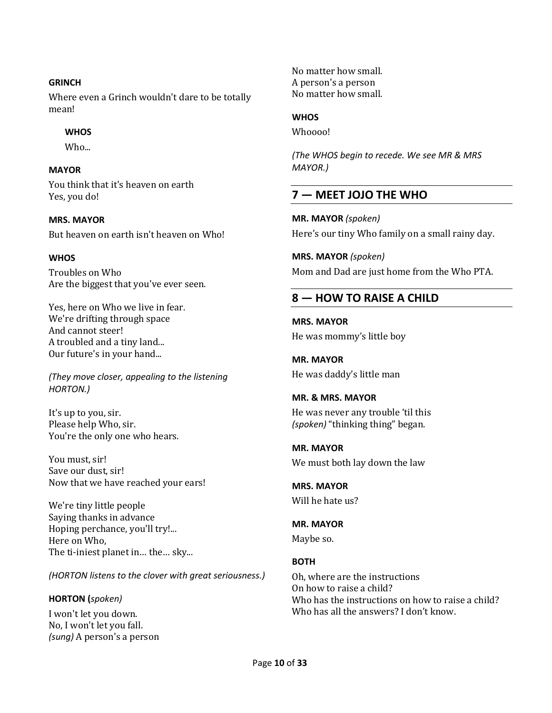#### **GRINCH**

Where even a Grinch wouldn't dare to be totally mean!

#### **WHOS**

Who...

**MAYOR**  You think that it's heaven on earth Yes, you do!

**MRS. MAYOR** But heaven on earth isn't heaven on Who!

#### **WHOS**

Troubles on Who Are the biggest that you've ever seen.

Yes, here on Who we live in fear. We're drifting through space And cannot steer! A troubled and a tiny land... Our future's in your hand...

*(They move closer, appealing to the listening HORTON.)*

It's up to you, sir. Please help Who, sir. You're the only one who hears.

You must, sir! Save our dust, sir! Now that we have reached your ears!

We're tiny little people Saying thanks in advance Hoping perchance, you'll try!... Here on Who, The ti-iniest planet in… the… sky...

*(HORTON listens to the clover with great seriousness.)*

#### **HORTON (***spoken)*

I won't let you down. No, I won't let you fall. *(sung)* A person's a person No matter how small. A person's a person No matter how small.

#### **WHOS**

Whoooo!

*(The WHOS begin to recede. We see MR & MRS MAYOR.)*

# <span id="page-9-0"></span>**7 — MEET JOJO THE WHO**

**MR. MAYOR** *(spoken)* Here's our tiny Who family on a small rainy day.

**MRS. MAYOR** *(spoken)* Mom and Dad are just home from the Who PTA.

# <span id="page-9-1"></span>**8 — HOW TO RAISE A CHILD**

**MRS. MAYOR** He was mommy's little boy

**MR. MAYOR** He was daddy's little man

**MR. & MRS. MAYOR** He was never any trouble 'til this *(spoken)* "thinking thing" began.

**MR. MAYOR** We must both lay down the law

**MRS. MAYOR** Will he hate us?

**MR. MAYOR** Maybe so.

#### **BOTH**

Oh, where are the instructions On how to raise a child? Who has the instructions on how to raise a child? Who has all the answers? I don't know.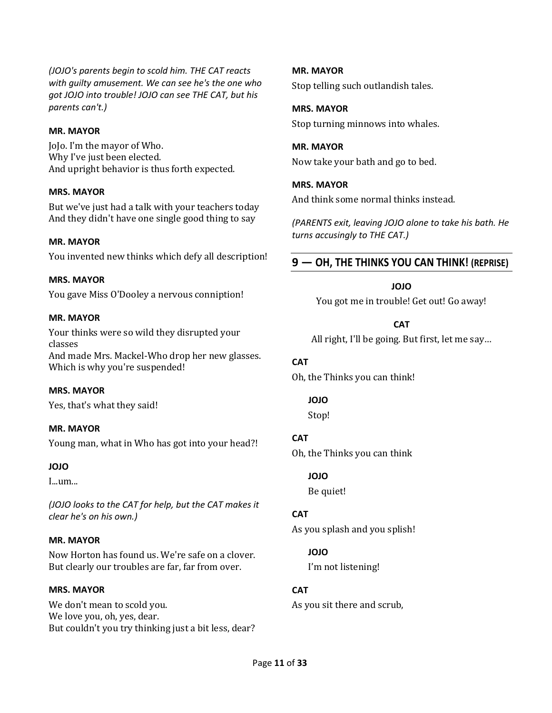*(JOJO's parents begin to scold him. THE CAT reacts with guilty amusement. We can see he's the one who got JOJO into trouble! JOJO can see THE CAT, but his parents can't.)*

#### **MR. MAYOR**

JoJo. I'm the mayor of Who. Why I've just been elected. And upright behavior is thus forth expected.

#### **MRS. MAYOR**

But we've just had a talk with your teachers today And they didn't have one single good thing to say

#### **MR. MAYOR**

You invented new thinks which defy all description!

#### **MRS. MAYOR**

You gave Miss O'Dooley a nervous conniption!

#### **MR. MAYOR**

Your thinks were so wild they disrupted your classes And made Mrs. Mackel-Who drop her new glasses. Which is why you're suspended!

#### **MRS. MAYOR**

Yes, that's what they said!

#### **MR. MAYOR**

Young man, what in Who has got into your head?!

#### **JOJO**

I...um...

*(JOJO looks to the CAT for help, but the CAT makes it clear he's on his own.)*

#### **MR. MAYOR**

Now Horton has found us. We're safe on a clover. But clearly our troubles are far, far from over.

#### **MRS. MAYOR**

We don't mean to scold you. We love you, oh, yes, dear. But couldn't you try thinking just a bit less, dear? **MR. MAYOR**  Stop telling such outlandish tales.

**MRS. MAYOR**  Stop turning minnows into whales.

**MR. MAYOR**  Now take your bath and go to bed.

**MRS. MAYOR**  And think some normal thinks instead.

*(PARENTS exit, leaving JOJO alone to take his bath. He turns accusingly to THE CAT.)*

# <span id="page-10-0"></span>**9 — OH, THE THINKS YOU CAN THINK! (REPRISE)**

#### **JOJO**

You got me in trouble! Get out! Go away!

#### **CAT**

All right, I'll be going. But first, let me say…

#### **CAT**

Oh, the Thinks you can think!

**JOJO**

Stop!

### **CAT**

Oh, the Thinks you can think

**JOJO**

Be quiet!

### **CAT**

As you splash and you splish!

**JOJO** I'm not listening!

#### **CAT**

As you sit there and scrub,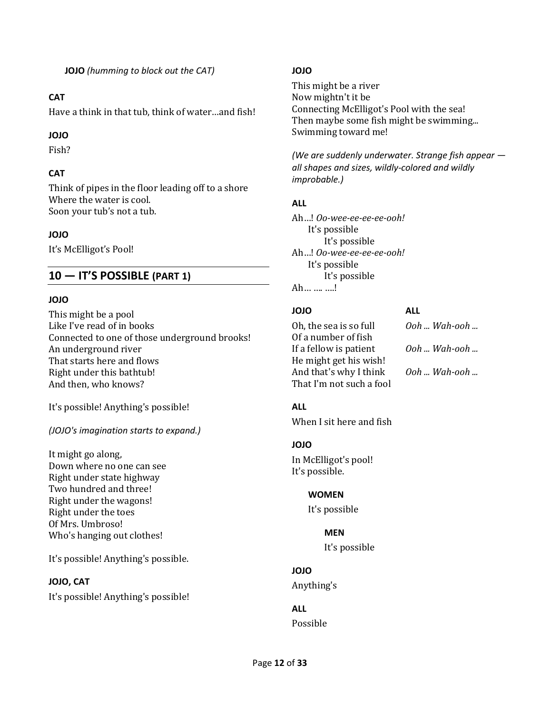**JOJO** *(humming to block out the CAT)*

### **CAT**

Have a think in that tub, think of water…and fish!

### **JOJO**

Fish?

# **CAT**

Think of pipes in the floor leading off to a shore Where the water is cool. Soon your tub's not a tub.

#### **JOJO**

It's McElligot's Pool!

# <span id="page-11-0"></span>**10 — IT'S POSSIBLE (PART 1)**

#### **JOJO**

This might be a pool Like I've read of in books Connected to one of those underground brooks! An underground river That starts here and flows Right under this bathtub! And then, who knows?

It's possible! Anything's possible!

*(JOJO's imagination starts to expand.)*

It might go along, Down where no one can see Right under state highway Two hundred and three! Right under the wagons! Right under the toes Of Mrs. Umbroso! Who's hanging out clothes!

It's possible! Anything's possible.

#### **JOJO, CAT**

It's possible! Anything's possible!

#### **JOJO**

This might be a river Now mightn't it be Connecting McElligot's Pool with the sea! Then maybe some fish might be swimming... Swimming toward me!

*(We are suddenly underwater. Strange fish appear all shapes and sizes, wildly-colored and wildly improbable.)* 

### **ALL**

Ah…! *Oo-wee-ee-ee-ee-ooh!* It's possible It's possible Ah…! *Oo-wee-ee-ee-ee-ooh!* It's possible It's possible Ah… …. ….!

### **JOJO ALL**

Oh, the sea is so full *Ooh ... Wah-ooh ...* Of a number of fish If a fellow is patient *Ooh ... Wah-ooh ...* He might get his wish! And that's why I think *Ooh ... Wah-ooh ...* That I'm not such a fool

#### **ALL**

When I sit here and fish

### **JOJO**

In McElligot's pool! It's possible.

#### **WOMEN**

It's possible

**MEN** It's possible

# **JOJO**

Anything's

# **ALL**

Possible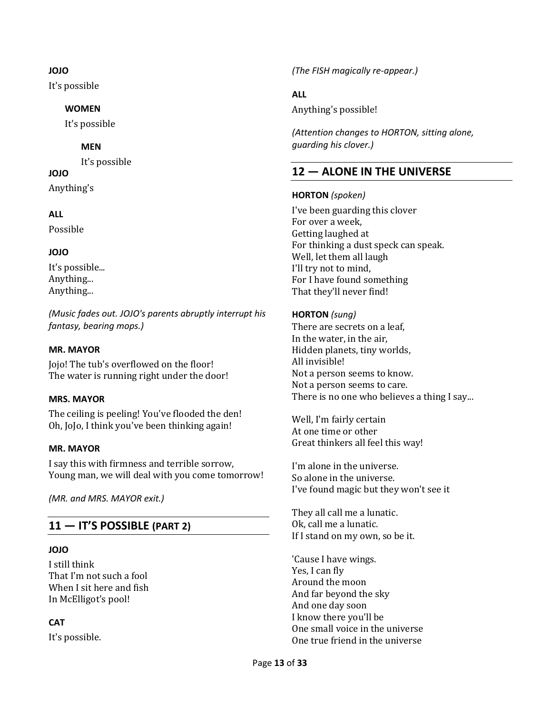#### **JOJO**

It's possible

#### **WOMEN**

It's possible

#### **MEN**

It's possible

### **JOJO**

Anything's

#### **ALL**

Possible

#### **JOJO**

It's possible... Anything... Anything...

*(Music fades out. JOJO's parents abruptly interrupt his fantasy, bearing mops.)*

#### **MR. MAYOR**

Jojo! The tub's overflowed on the floor! The water is running right under the door!

#### **MRS. MAYOR**

The ceiling is peeling! You've flooded the den! Oh, JoJo, I think you've been thinking again!

#### **MR. MAYOR**

I say this with firmness and terrible sorrow, Young man, we will deal with you come tomorrow!

*(MR. and MRS. MAYOR exit.)*

### <span id="page-12-0"></span>**11 — IT'S POSSIBLE (PART 2)**

#### **JOJO**

I still think That I'm not such a fool When I sit here and fish In McElligot's pool!

### **CAT**

It's possible.

*(The FISH magically re-appear.)*

#### **ALL**

Anything's possible!

*(Attention changes to HORTON, sitting alone, guarding his clover.)*

# <span id="page-12-1"></span>**12 — ALONE IN THE UNIVERSE**

#### **HORTON** *(spoken)*

I've been guarding this clover For over a week, Getting laughed at For thinking a dust speck can speak. Well, let them all laugh I'll try not to mind, For I have found something That they'll never find!

#### **HORTON** *(sung)*

There are secrets on a leaf, In the water, in the air, Hidden planets, tiny worlds, All invisible! Not a person seems to know. Not a person seems to care. There is no one who believes a thing I say...

Well, I'm fairly certain At one time or other Great thinkers all feel this way!

I'm alone in the universe. So alone in the universe. I've found magic but they won't see it

They all call me a lunatic. Ok, call me a lunatic. If I stand on my own, so be it.

'Cause I have wings. Yes, I can fly Around the moon And far beyond the sky And one day soon I know there you'll be One small voice in the universe One true friend in the universe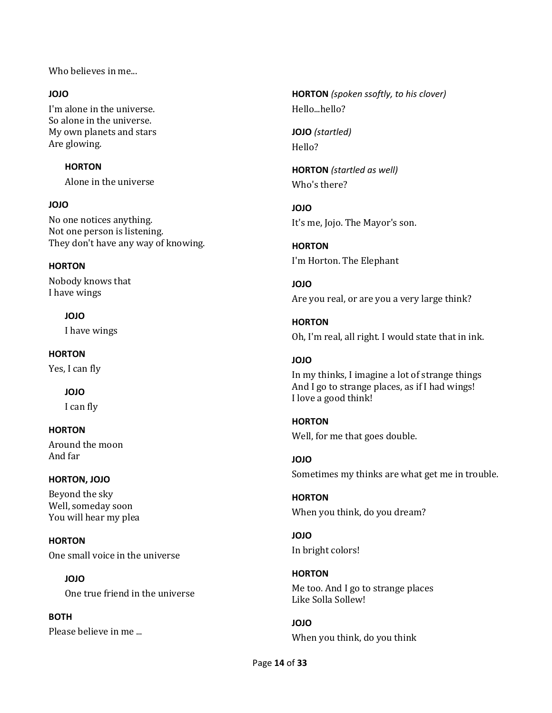Who believes in me...

#### **JOJO**

I'm alone in the universe. So alone in the universe. My own planets and stars Are glowing.

#### **HORTON**

Alone in the universe

#### **JOJO**

No one notices anything. Not one person is listening. They don't have any way of knowing.

#### **HORTON**

Nobody knows that I have wings

> **JOJO** I have wings

**HORTON** Yes, I can fly

> **JOJO** I can fly

**HORTON** Around the moon And far

#### **HORTON, JOJO**

Beyond the sky Well, someday soon You will hear my plea

**HORTON**  One small voice in the universe

> **JOJO** One true friend in the universe

**BOTH**  Please believe in me ... **HORTON** *(spoken ssoftly, to his clover)* Hello...hello?

**JOJO** *(startled)* Hello?

**HORTON** *(startled as well)* Who's there?

**JOJO** It's me, Jojo. The Mayor's son.

**HORTON**  I'm Horton. The Elephant

**JOJO**  Are you real, or are you a very large think?

**HORTON**  Oh, I'm real, all right. I would state that in ink.

#### **JOJO**

In my thinks, I imagine a lot of strange things And I go to strange places, as if I had wings! I love a good think!

**HORTON**  Well, for me that goes double.

**JOJO** Sometimes my thinks are what get me in trouble.

**HORTON**  When you think, do you dream?

**JOJO**  In bright colors!

**HORTON**  Me too. And I go to strange places Like Solla Sollew!

**JOJO**  When you think, do you think

Page **14** of **33**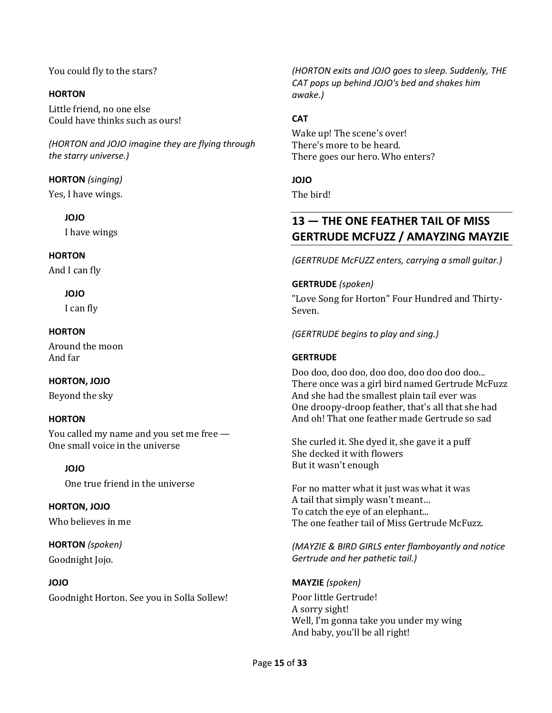You could fly to the stars?

#### **HORTON**

Little friend, no one else Could have thinks such as ours!

*(HORTON and JOJO imagine they are flying through the starry universe.)*

**HORTON** *(singing)* Yes, I have wings.

#### **JOJO**

I have wings

#### **HORTON**

And I can fly

#### **JOJO**

I can fly

#### **HORTON**

Around the moon And far

### **HORTON, JOJO**

Beyond the sky

#### **HORTON**

**JOJO** 

You called my name and you set me free — One small voice in the universe

One true friend in the universe

**HORTON, JOJO** Who believes in me

**HORTON** *(spoken)* Goodnight Jojo.

#### **JOJO**

Goodnight Horton. See you in Solla Sollew!

*(HORTON exits and JOJO goes to sleep. Suddenly, THE CAT pops up behind JOJO's bed and shakes him awake.)*

### **CAT**

Wake up! The scene's over! There's more to be heard. There goes our hero. Who enters?

#### **JOJO**

The bird!

# <span id="page-14-0"></span>**13 — THE ONE FEATHER TAIL OF MISS GERTRUDE MCFUZZ / AMAYZING MAYZIE**

*(GERTRUDE McFUZZ enters, carrying a small guitar.)*

#### **GERTRUDE** *(spoken)*

"Love Song for Horton" Four Hundred and Thirty-Seven.

*(GERTRUDE begins to play and sing.)*

#### **GERTRUDE**

Doo doo, doo doo, doo doo, doo doo doo doo... There once was a girl bird named Gertrude McFuzz And she had the smallest plain tail ever was One droopy-droop feather, that's all that she had And oh! That one feather made Gertrude so sad

She curled it. She dyed it, she gave it a puff She decked it with flowers But it wasn't enough

For no matter what it just was what it was A tail that simply wasn't meant… To catch the eye of an elephant... The one feather tail of Miss Gertrude McFuzz.

*(MAYZIE & BIRD GIRLS enter flamboyantly and notice Gertrude and her pathetic tail.)*

**MAYZIE** *(spoken)* Poor little Gertrude! A sorry sight! Well, I'm gonna take you under my wing And baby, you'll be all right!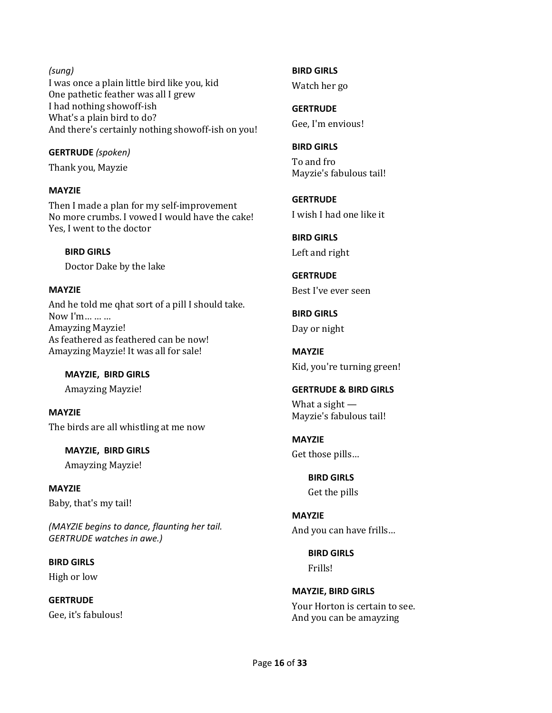*(sung)* I was once a plain little bird like you, kid One pathetic feather was all I grew I had nothing showoff-ish What's a plain bird to do? And there's certainly nothing showoff-ish on you!

**GERTRUDE** *(spoken)* Thank you, Mayzie

#### **MAYZIE**

Then I made a plan for my self-improvement No more crumbs. I vowed I would have the cake! Yes, I went to the doctor

**BIRD GIRLS**  Doctor Dake by the lake

#### **MAYZIE**

And he told me qhat sort of a pill I should take. Now I'm… … … Amayzing Mayzie! As feathered as feathered can be now! Amayzing Mayzie! It was all for sale!

**MAYZIE, BIRD GIRLS**  Amayzing Mayzie!

**MAYZIE**  The birds are all whistling at me now

> **MAYZIE, BIRD GIRLS**  Amayzing Mayzie!

**MAYZIE**  Baby, that's my tail!

*(MAYZIE begins to dance, flaunting her tail. GERTRUDE watches in awe.)*

**BIRD GIRLS**  High or low

**GERTRUDE**  Gee, it's fabulous! **BIRD GIRLS**  Watch her go

**GERTRUDE**  Gee, I'm envious!

**BIRD GIRLS**  To and fro Mayzie's fabulous tail!

**GERTRUDE**  I wish I had one like it

**BIRD GIRLS**  Left and right

**GERTRUDE**  Best I've ever seen

**BIRD GIRLS**  Day or night

**MAYZIE**  Kid, you're turning green!

**GERTRUDE & BIRD GIRLS**  What a sight — Mayzie's fabulous tail!

**MAYZIE**  Get those pills…

> **BIRD GIRLS** Get the pills

**MAYZIE** And you can have frills…

> **BIRD GIRLS** Frills!

**MAYZIE, BIRD GIRLS**  Your Horton is certain to see. And you can be amayzing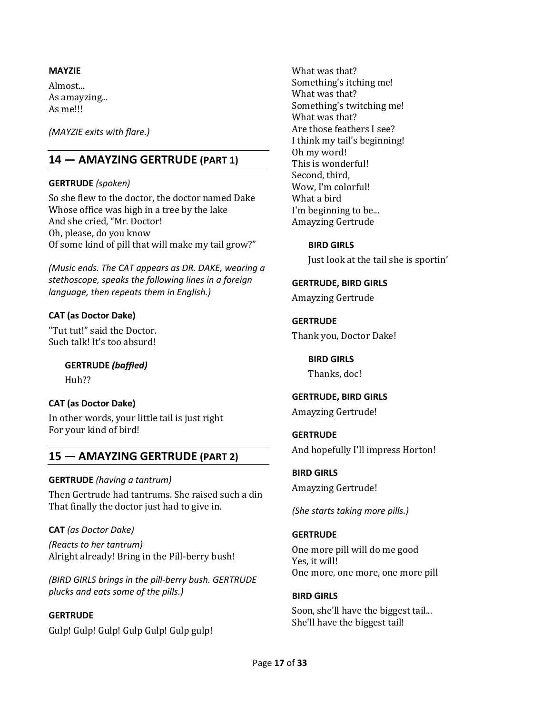#### **MAYZIE**

Almost... As amayzing... As me!!!

*(MAYZIE exits with flare.)*

#### <span id="page-16-0"></span>**14 — AMAYZING GERTRUDE (PART 1)**

#### **GERTRUDE** *(spoken)*

So she flew to the doctor, the doctor named Dake Whose office was high in a tree by the lake And she cried, "Mr. Doctor! Oh, please, do you know Of some kind of pill that will make my tail grow?"

*(Music ends. The CAT appears as DR. DAKE, wearing a stethoscope, speaks the following lines in a foreign language, then repeats them in English.)*

#### **CAT (as Doctor Dake)**

"Tut tut!" said the Doctor. Such talk! It's too absurd!

**GERTRUDE** *(baffled)*

Huh??

**GERTRUDE** 

**CAT (as Doctor Dake)**  In other words, your little tail is just right For your kind of bird!

### <span id="page-16-1"></span>**15 — AMAYZING GERTRUDE (PART 2)**

#### **GERTRUDE** *(having a tantrum)*

Then Gertrude had tantrums. She raised such a din That finally the doctor just had to give in.

**CAT** *(as Doctor Dake) (Reacts to her tantrum)*  Alright already! Bring in the Pill-berry bush!

*(BIRD GIRLS brings in the pill-berry bush. GERTRUDE plucks and eats some of the pills.)*

Gulp! Gulp! Gulp! Gulp Gulp! Gulp gulp!

What was that? Something's itching me! What was that? Something's twitching me! What was that? Are those feathers I see? I think my tail's beginning! Oh my word! This is wonderful! Second, third, Wow, I'm colorful! What a bird I'm beginning to be... Amayzing Gertrude

#### **BIRD GIRLS**

Just look at the tail she is sportin'

**GERTRUDE, BIRD GIRLS** 

Amayzing Gertrude

**GERTRUDE**  Thank you, Doctor Dake!

> **BIRD GIRLS**  Thanks, doc!

**GERTRUDE, BIRD GIRLS**  Amayzing Gertrude!

**GERTRUDE**  And hopefully I'll impress Horton!

**BIRD GIRLS**  Amayzing Gertrude!

*(She starts taking more pills.)* 

#### **GERTRUDE**

One more pill will do me good Yes, it will! One more, one more, one more pill

#### **BIRD GIRLS**

Soon, she'll have the biggest tail... She'll have the biggest tail!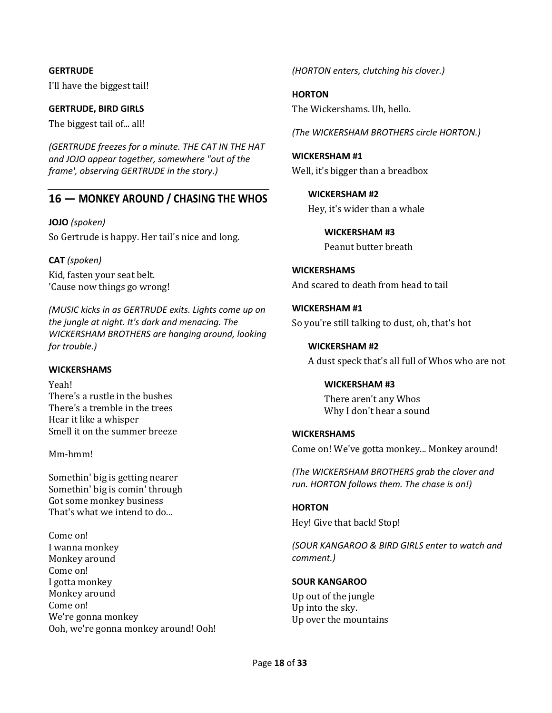#### **GERTRUDE**

I'll have the biggest tail!

**GERTRUDE, BIRD GIRLS**  The biggest tail of... all!

*(GERTRUDE freezes for a minute. THE CAT IN THE HAT and JOJO appear together, somewhere "out of the frame', observing GERTRUDE in the story.)*

#### <span id="page-17-0"></span>**16 — MONKEY AROUND / CHASING THE WHOS**

**JOJO** *(spoken)* So Gertrude is happy. Her tail's nice and long.

#### **CAT** *(spoken)*

Kid, fasten your seat belt. 'Cause now things go wrong!

*(MUSIC kicks in as GERTRUDE exits. Lights come up on the jungle at night. It's dark and menacing. The WICKERSHAM BROTHERS are hanging around, looking for trouble.)*

#### **WICKERSHAMS**

Yeah! There's a rustle in the bushes There's a tremble in the trees Hear it like a whisper Smell it on the summer breeze

Mm-hmm!

Somethin' big is getting nearer Somethin' big is comin' through Got some monkey business That's what we intend to do...

Come on! I wanna monkey Monkey around Come on! I gotta monkey Monkey around Come on! We're gonna monkey Ooh, we're gonna monkey around! Ooh! *(HORTON enters, clutching his clover.)* 

**HORTON**  The Wickershams. Uh, hello.

*(The WICKERSHAM BROTHERS circle HORTON.)* 

**WICKERSHAM #1** Well, it's bigger than a breadbox

> **WICKERSHAM #2** Hey, it's wider than a whale

> > **WICKERSHAM #3** Peanut butter breath

**WICKERSHAMS**  And scared to death from head to tail

**WICKERSHAM #1**  So you're still talking to dust, oh, that's hot

**WICKERSHAM #2**  A dust speck that's all full of Whos who are not

**WICKERSHAM #3**  There aren't any Whos Why I don't hear a sound

**WICKERSHAMS**  Come on! We've gotta monkey... Monkey around!

*(The WICKERSHAM BROTHERS grab the clover and run. HORTON follows them. The chase is on!)*

**HORTON**  Hey! Give that back! Stop!

*(SOUR KANGAROO & BIRD GIRLS enter to watch and comment.)*

#### **SOUR KANGAROO**

Up out of the jungle Up into the sky. Up over the mountains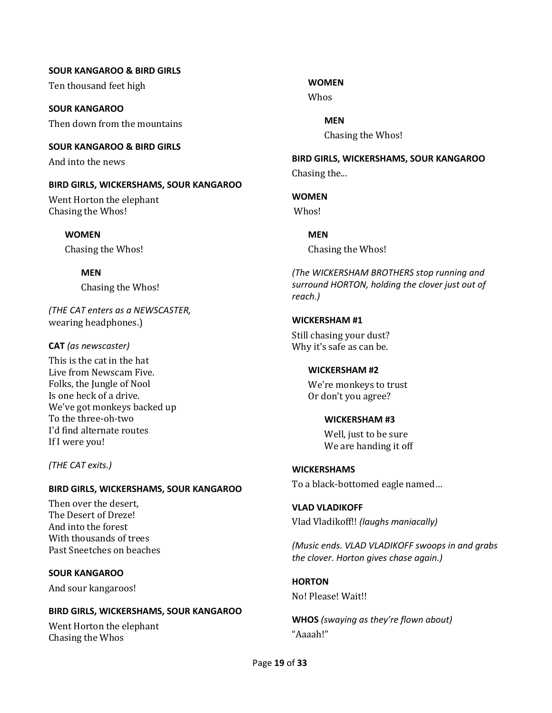#### **SOUR KANGAROO & BIRD GIRLS**

Ten thousand feet high

**SOUR KANGAROO**  Then down from the mountains

**SOUR KANGAROO & BIRD GIRLS**  And into the news

#### **BIRD GIRLS, WICKERSHAMS, SOUR KANGAROO**

Went Horton the elephant Chasing the Whos!

> **WOMEN**  Chasing the Whos!

> > **MEN**  Chasing the Whos!

*(THE CAT enters as a NEWSCASTER,*  wearing headphones.)

**CAT** *(as newscaster)*

This is the cat in the hat Live from Newscam Five. Folks, the Jungle of Nool Is one heck of a drive. We've got monkeys backed up To the three-oh-two I'd find alternate routes If I were you!

*(THE CAT exits.)*

#### **BIRD GIRLS, WICKERSHAMS, SOUR KANGAROO**

Then over the desert, The Desert of Dreze! And into the forest With thousands of trees Past Sneetches on beaches

**SOUR KANGAROO** 

And sour kangaroos!

#### **BIRD GIRLS, WICKERSHAMS, SOUR KANGAROO**

Went Horton the elephant Chasing the Whos

#### **WOMEN**

Whos

**MEN** Chasing the Whos!

**BIRD GIRLS, WICKERSHAMS, SOUR KANGAROO** Chasing the...

**WOMEN**

Whos!

**MEN** Chasing the Whos!

*(The WICKERSHAM BROTHERS stop running and surround HORTON, holding the clover just out of reach.)*

**WICKERSHAM #1**  Still chasing your dust? Why it's safe as can be.

#### **WICKERSHAM #2**

We're monkeys to trust Or don't you agree?

#### **WICKERSHAM #3**

Well, just to be sure We are handing it off

**WICKERSHAMS**  To a black-bottomed eagle named…

**VLAD VLADIKOFF**  Vlad Vladikoff!! *(laughs maniacally)*

*(Music ends. VLAD VLADIKOFF swoops in and grabs the clover. Horton gives chase again.)*

**HORTON**  No! Please! Wait!!

**WHOS** *(swaying as they're flown about)* "Aaaah!"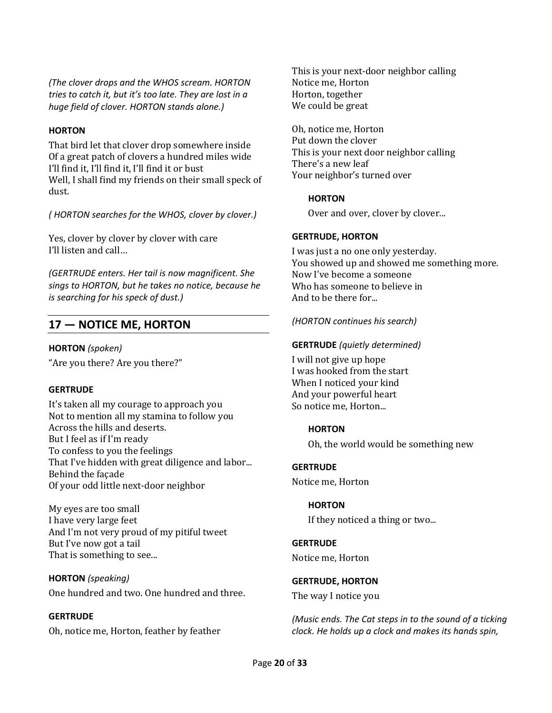*(The clover drops and the WHOS scream. HORTON tries to catch it, but it's too late. They are lost in a huge field of clover. HORTON stands alone.)*

#### **HORTON**

That bird let that clover drop somewhere inside Of a great patch of clovers a hundred miles wide I'll find it, I'll find it, I'll find it or bust Well, I shall find my friends on their small speck of dust.

*( HORTON searches for the WHOS, clover by clover.)*

Yes, clover by clover by clover with care I'll listen and call…

*(GERTRUDE enters. Her tail is now magnificent. She sings to HORTON, but he takes no notice, because he is searching for his speck of dust.)*

# <span id="page-19-0"></span>**17 — NOTICE ME, HORTON**

**HORTON** *(spoken)* "Are you there? Are you there?"

#### **GERTRUDE**

It's taken all my courage to approach you Not to mention all my stamina to follow you Across the hills and deserts. But I feel as if I'm ready To confess to you the feelings That I've hidden with great diligence and labor... Behind the façade Of your odd little next-door neighbor

My eyes are too small I have very large feet And I'm not very proud of my pitiful tweet But I've now got a tail That is something to see...

**HORTON** *(speaking)* One hundred and two. One hundred and three.

**GERTRUDE**  Oh, notice me, Horton, feather by feather

This is your next-door neighbor calling Notice me, Horton Horton, together We could be great

Oh, notice me, Horton Put down the clover This is your next door neighbor calling There's a new leaf Your neighbor's turned over

#### **HORTON**

Over and over, clover by clover...

#### **GERTRUDE, HORTON**

I was just a no one only yesterday. You showed up and showed me something more. Now I've become a someone Who has someone to believe in And to be there for...

*(HORTON continues his search)*

#### **GERTRUDE** *(quietly determined)*

I will not give up hope I was hooked from the start When I noticed your kind And your powerful heart So notice me, Horton...

#### **HORTON**

Oh, the world would be something new

#### **GERTRUDE**

Notice me, Horton

**HORTON**  If they noticed a thing or two...

# **GERTRUDE**

Notice me, Horton

#### **GERTRUDE, HORTON**

The way I notice you

*(Music ends. The Cat steps in to the sound of a ticking clock. He holds up a clock and makes its hands spin,*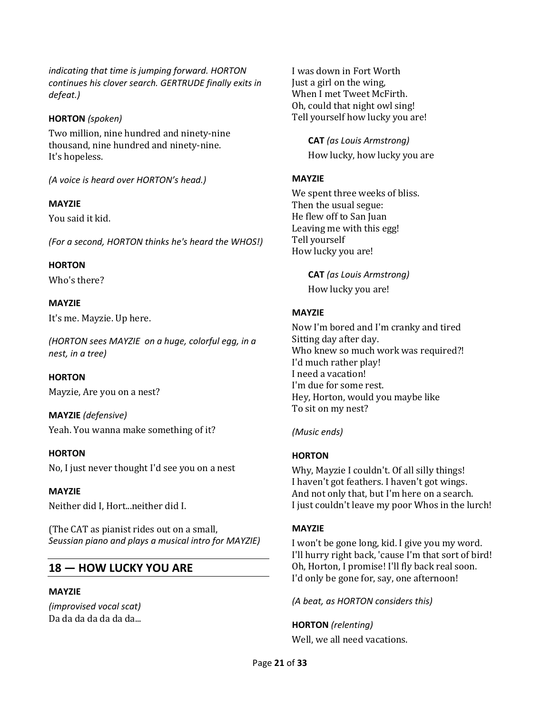*indicating that time is jumping forward. HORTON continues his clover search. GERTRUDE finally exits in defeat.)*

#### **HORTON** *(spoken)*

Two million, nine hundred and ninety-nine thousand, nine hundred and ninety-nine. It's hopeless.

*(A voice is heard over HORTON's head.)*

**MAYZIE** 

You said it kid.

*(For a second, HORTON thinks he's heard the WHOS!)*

#### **HORTON**

Who's there?

#### **MAYZIE**

It's me. Mayzie. Up here.

*(HORTON sees MAYZIE on a huge, colorful egg, in a nest, in a tree)*

#### **HORTON**

Mayzie, Are you on a nest?

**MAYZIE** *(defensive)* Yeah. You wanna make something of it?

#### **HORTON**

No, I just never thought I'd see you on a nest

#### **MAYZIE**

Neither did I, Hort...neither did I.

(The CAT as pianist rides out on a small, *Seussian piano and plays a musical intro for MAYZIE)*

# <span id="page-20-0"></span>**18 — HOW LUCKY YOU ARE**

#### **MAYZIE**

*(improvised vocal scat)* Da da da da da da...

I was down in Fort Worth Just a girl on the wing, When I met Tweet McFirth. Oh, could that night owl sing! Tell yourself how lucky you are!

> **CAT** *(as Louis Armstrong)* How lucky, how lucky you are

#### **MAYZIE**

We spent three weeks of bliss. Then the usual segue: He flew off to San Juan Leaving me with this egg! Tell yourself How lucky you are!

> **CAT** *(as Louis Armstrong)* How lucky you are!

#### **MAYZIE**

Now I'm bored and I'm cranky and tired Sitting day after day. Who knew so much work was required?! I'd much rather play! I need a vacation! I'm due for some rest. Hey, Horton, would you maybe like To sit on my nest?

#### *(Music ends)*

#### **HORTON**

Why, Mayzie I couldn't. Of all silly things! I haven't got feathers. I haven't got wings. And not only that, but I'm here on a search. I just couldn't leave my poor Whos in the lurch!

#### **MAYZIE**

I won't be gone long, kid. I give you my word. I'll hurry right back, 'cause I'm that sort of bird! Oh, Horton, I promise! I'll fly back real soon. I'd only be gone for, say, one afternoon!

*(A beat, as HORTON considers this)*

**HORTON** *(relenting)*  Well, we all need vacations.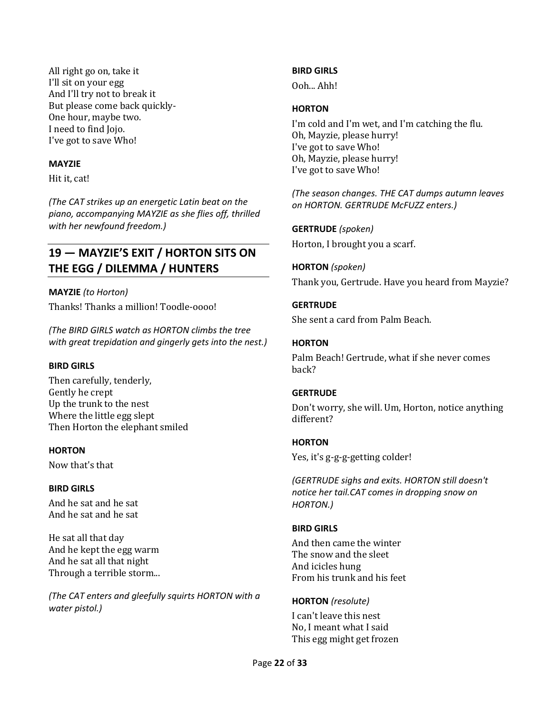All right go on, take it I'll sit on your egg And I'll try not to break it But please come back quickly-One hour, maybe two. I need to find Jojo. I've got to save Who!

#### **MAYZIE**

Hit it, cat!

*(The CAT strikes up an energetic Latin beat on the piano, accompanying MAYZIE as she flies off, thrilled with her newfound freedom.)*

# <span id="page-21-0"></span>**19 — MAYZIE'S EXIT / HORTON SITS ON THE EGG / DILEMMA / HUNTERS**

#### **MAYZIE** *(to Horton)*

Thanks! Thanks a million! Toodle-oooo!

*(The BIRD GIRLS watch as HORTON climbs the tree with great trepidation and gingerly gets into the nest.)*

#### **BIRD GIRLS**

Then carefully, tenderly, Gently he crept Up the trunk to the nest Where the little egg slept Then Horton the elephant smiled

#### **HORTON**

Now that's that

#### **BIRD GIRLS**

And he sat and he sat And he sat and he sat

He sat all that day And he kept the egg warm And he sat all that night Through a terrible storm...

*(The CAT enters and gleefully squirts HORTON with a water pistol.)*

#### **BIRD GIRLS**

Ooh... Ahh!

#### **HORTON**

I'm cold and I'm wet, and I'm catching the flu. Oh, Mayzie, please hurry! I've got to save Who! Oh, Mayzie, please hurry! I've got to save Who!

*(The season changes. THE CAT dumps autumn leaves on HORTON. GERTRUDE McFUZZ enters.)*

**GERTRUDE** *(spoken)* Horton, I brought you a scarf.

**HORTON** *(spoken)* Thank you, Gertrude. Have you heard from Mayzie?

#### **GERTRUDE**

She sent a card from Palm Beach.

#### **HORTON**

Palm Beach! Gertrude, what if she never comes back?

#### **GERTRUDE**

Don't worry, she will. Um, Horton, notice anything different?

#### **HORTON**

Yes, it's g-g-g-getting colder!

*(GERTRUDE sighs and exits. HORTON still doesn't notice her tail.CAT comes in dropping snow on HORTON.)*

#### **BIRD GIRLS**

And then came the winter The snow and the sleet And icicles hung From his trunk and his feet

#### **HORTON** *(resolute)*

I can't leave this nest No, I meant what I said This egg might get frozen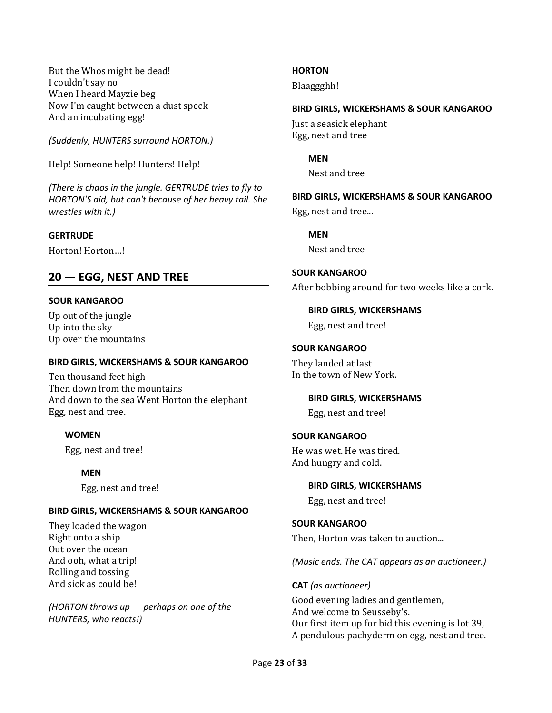But the Whos might be dead! I couldn't say no When I heard Mayzie beg Now I'm caught between a dust speck And an incubating egg!

*(Suddenly, HUNTERS surround HORTON.)*

Help! Someone help! Hunters! Help!

*(There is chaos in the jungle. GERTRUDE tries to fly to HORTON'S aid, but can't because of her heavy tail. She wrestles with it.)* 

#### **GERTRUDE**

Horton! Horton…!

### <span id="page-22-0"></span>**20 — EGG, NEST AND TREE**

#### **SOUR KANGAROO**

Up out of the jungle Up into the sky Up over the mountains

#### **BIRD GIRLS, WICKERSHAMS & SOUR KANGAROO**

Ten thousand feet high Then down from the mountains And down to the sea Went Horton the elephant Egg, nest and tree.

#### **WOMEN**

Egg, nest and tree!

**MEN** 

Egg, nest and tree!

#### **BIRD GIRLS, WICKERSHAMS & SOUR KANGAROO**

They loaded the wagon Right onto a ship Out over the ocean And ooh, what a trip! Rolling and tossing And sick as could be!

*(HORTON throws up — perhaps on one of the HUNTERS, who reacts!)* 

#### **HORTON**

Blaaggghh!

#### **BIRD GIRLS, WICKERSHAMS & SOUR KANGAROO**

Just a seasick elephant Egg, nest and tree

> **MEN**  Nest and tree

**BIRD GIRLS, WICKERSHAMS & SOUR KANGAROO**

Egg, nest and tree...

**MEN**  Nest and tree

#### **SOUR KANGAROO**

After bobbing around for two weeks like a cork.

**BIRD GIRLS, WICKERSHAMS**  Egg, nest and tree!

#### **SOUR KANGAROO**

They landed at last In the town of New York.

> **BIRD GIRLS, WICKERSHAMS**  Egg, nest and tree!

#### **SOUR KANGAROO**

He was wet. He was tired. And hungry and cold.

**BIRD GIRLS, WICKERSHAMS** 

Egg, nest and tree!

#### **SOUR KANGAROO**

Then, Horton was taken to auction...

*(Music ends. The CAT appears as an auctioneer.)*

**CAT** *(as auctioneer)* Good evening ladies and gentlemen, And welcome to Seusseby's. Our first item up for bid this evening is lot 39, A pendulous pachyderm on egg, nest and tree.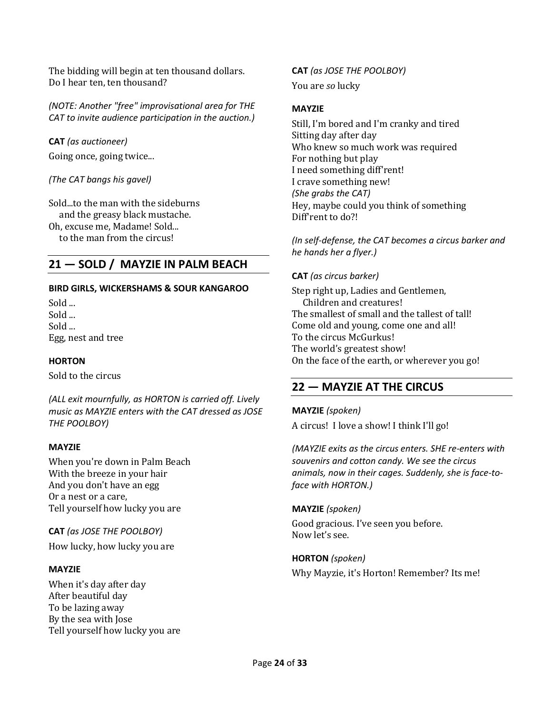The bidding will begin at ten thousand dollars. Do I hear ten, ten thousand?

*(NOTE: Another "free" improvisational area for THE CAT to invite audience participation in the auction.)*

**CAT** *(as auctioneer)*

Going once, going twice...

*(The CAT bangs his gavel)*

Sold...to the man with the sideburns and the greasy black mustache. Oh, excuse me, Madame! Sold... to the man from the circus!

# <span id="page-23-0"></span>**21 — SOLD / MAYZIE IN PALM BEACH**

#### **BIRD GIRLS, WICKERSHAMS & SOUR KANGAROO**

Sold ... Sold ... Sold ... Egg, nest and tree

#### **HORTON**

Sold to the circus

*(ALL exit mournfully, as HORTON is carried off. Lively music as MAYZIE enters with the CAT dressed as JOSE THE POOLBOY)*

#### **MAYZIE**

When you're down in Palm Beach With the breeze in your hair And you don't have an egg Or a nest or a care, Tell yourself how lucky you are

**CAT** *(as JOSE THE POOLBOY)*

How lucky, how lucky you are

#### **MAYZIE**

When it's day after day After beautiful day To be lazing away By the sea with Jose Tell yourself how lucky you are **CAT** *(as JOSE THE POOLBOY)* You are *so* lucky

#### **MAYZIE**

Still, I'm bored and I'm cranky and tired Sitting day after day Who knew so much work was required For nothing but play I need something diff'rent! I crave something new! *(She grabs the CAT)* Hey, maybe could you think of something Diff'rent to do?!

*(In self-defense, the CAT becomes a circus barker and he hands her a flyer.)*

#### **CAT** *(as circus barker)*

Step right up, Ladies and Gentlemen, Children and creatures! The smallest of small and the tallest of tall! Come old and young, come one and all! To the circus McGurkus! The world's greatest show! On the face of the earth, or wherever you go!

# <span id="page-23-1"></span>**22 — MAYZIE AT THE CIRCUS**

#### **MAYZIE** *(spoken)*

A circus! I love a show! I think I'll go!

*(MAYZIE exits as the circus enters. SHE re-enters with souvenirs and cotton candy. We see the circus animals, now in their cages. Suddenly, she is face-toface with HORTON.)*

#### **MAYZIE** *(spoken)*

Good gracious. I've seen you before. Now let's see.

**HORTON** *(spoken)* Why Mayzie, it's Horton! Remember? Its me!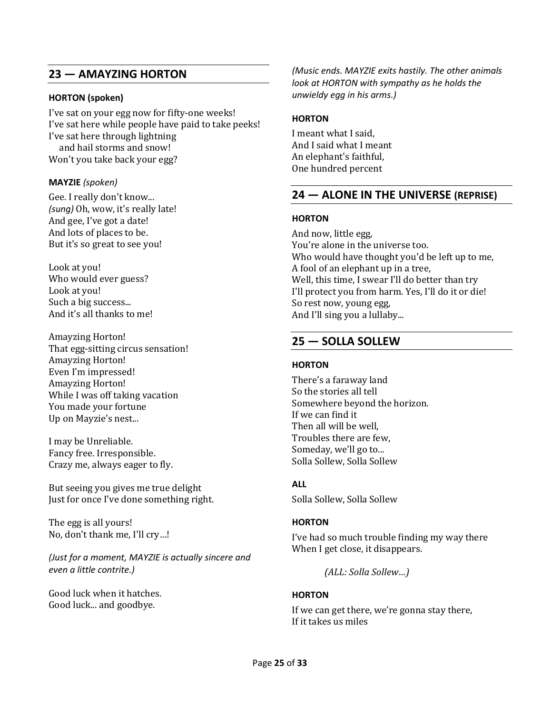# <span id="page-24-0"></span>**23 — AMAYZING HORTON**

#### **HORTON (spoken)**

I've sat on your egg now for fifty-one weeks! I've sat here while people have paid to take peeks! I've sat here through lightning and hail storms and snow! Won't you take back your egg?

#### **MAYZIE** *(spoken)*

Gee. I really don't know... *(sung)* Oh, wow, it's really late! And gee, I've got a date! And lots of places to be. But it's so great to see you!

Look at you! Who would ever guess? Look at you! Such a big success... And it's all thanks to me!

Amayzing Horton! That egg-sitting circus sensation! Amayzing Horton! Even I'm impressed! Amayzing Horton! While I was off taking vacation You made your fortune Up on Mayzie's nest...

I may be Unreliable. Fancy free. Irresponsible. Crazy me, always eager to fly.

But seeing you gives me true delight Just for once I've done something right.

The egg is all yours! No, don't thank me, I'll cry…!

*(Just for a moment, MAYZIE is actually sincere and even a little contrite.)*

Good luck when it hatches. Good luck... and goodbye.

*(Music ends. MAYZIE exits hastily. The other animals look at HORTON with sympathy as he holds the unwieldy egg in his arms.)*

#### **HORTON**

I meant what I said, And I said what I meant An elephant's faithful, One hundred percent

# <span id="page-24-1"></span>**24 — ALONE IN THE UNIVERSE (REPRISE)**

#### **HORTON**

And now, little egg, You're alone in the universe too. Who would have thought you'd be left up to me, A fool of an elephant up in a tree, Well, this time, I swear I'll do better than try I'll protect you from harm. Yes, I'll do it or die! So rest now, young egg, And I'll sing you a lullaby...

# <span id="page-24-2"></span>**25 — SOLLA SOLLEW**

#### **HORTON**

There's a faraway land So the stories all tell Somewhere beyond the horizon. If we can find it Then all will be well, Troubles there are few, Someday, we'll go to... Solla Sollew, Solla Sollew

#### **ALL**

Solla Sollew, Solla Sollew

#### **HORTON**

I've had so much trouble finding my way there When I get close, it disappears.

*(ALL: Solla Sollew…)*

#### **HORTON**

If we can get there, we're gonna stay there, If it takes us miles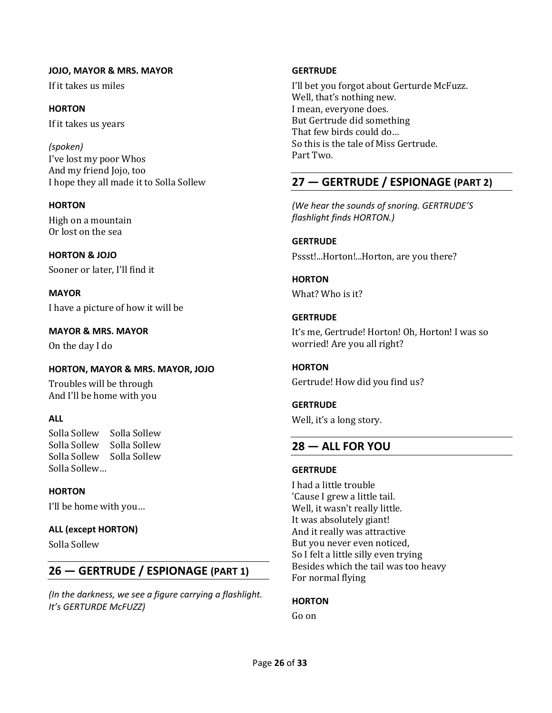#### **JOJO, MAYOR & MRS. MAYOR**

If it takes us miles

#### **HORTON**

If it takes us years

*(spoken)* I've lost my poor Whos And my friend Jojo, too I hope they all made it to Solla Sollew

#### **HORTON**

High on a mountain Or lost on the sea

# **HORTON & JOJO**

Sooner or later, I'll find it

**MAYOR**  I have a picture of how it will be

# **MAYOR & MRS. MAYOR**

On the day I do

#### **HORTON, MAYOR & MRS. MAYOR, JOJO**

Troubles will be through And I'll be home with you

#### **ALL**

Solla Sollew Solla Sollew Solla Sollew Solla Sollew Solla Sollew Solla Sollew Solla Sollew…

**HORTON**  I'll be home with you…

# **ALL (except HORTON)**

Solla Sollew

# <span id="page-25-0"></span>**26 — GERTRUDE / ESPIONAGE (PART 1)**

*(In the darkness, we see a figure carrying a flashlight. It's GERTURDE McFUZZ)*

#### **GERTRUDE**

I'll bet you forgot about Gerturde McFuzz. Well, that's nothing new. I mean, everyone does. But Gertrude did something That few birds could do… So this is the tale of Miss Gertrude. Part Two.

# <span id="page-25-1"></span>**27 — GERTRUDE / ESPIONAGE (PART 2)**

*(We hear the sounds of snoring. GERTRUDE'S flashlight finds HORTON.)*

#### **GERTRUDE**

Pssst!...Horton!...Horton, are you there?

# **HORTON**

What? Who is it?

#### **GERTRUDE**

It's me, Gertrude! Horton! Oh, Horton! I was so worried! Are you all right?

# **HORTON**

Gertrude! How did you find us?

### **GERTRUDE**

Well, it's a long story.

# <span id="page-25-2"></span>**28 — ALL FOR YOU**

#### **GERTRUDE**

I had a little trouble 'Cause I grew a little tail. Well, it wasn't really little. It was absolutely giant! And it really was attractive But you never even noticed, So I felt a little silly even trying Besides which the tail was too heavy For normal flying

#### **HORTON**

Go on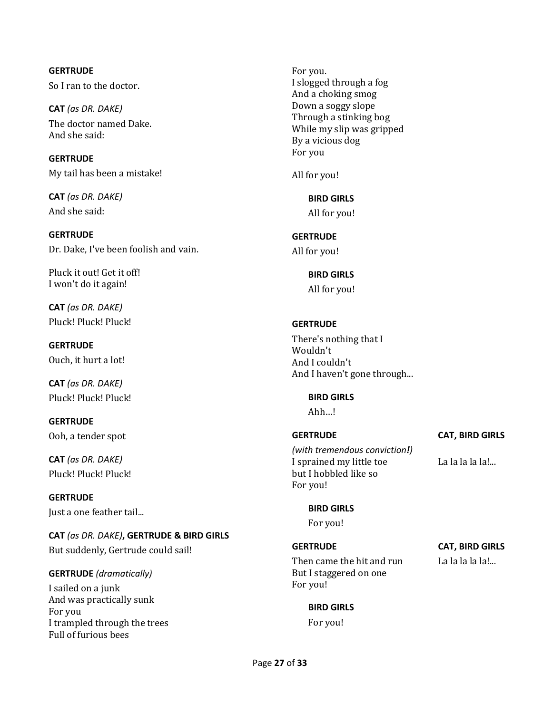**GERTRUDE**  So I ran to the doctor.

**CAT** *(as DR. DAKE)* The doctor named Dake. And she said:

**GERTRUDE**  My tail has been a mistake!

**CAT** *(as DR. DAKE)* And she said:

**GERTRUDE**  Dr. Dake, I've been foolish and vain.

Pluck it out! Get it off! I won't do it again!

**CAT** *(as DR. DAKE)* Pluck! Pluck! Pluck!

**GERTRUDE**  Ouch, it hurt a lot!

**CAT** *(as DR. DAKE)* Pluck! Pluck! Pluck!

**GERTRUDE**  Ooh, a tender spot

**CAT** *(as DR. DAKE)* Pluck! Pluck! Pluck!

**GERTRUDE**  Just a one feather tail...

**CAT** *(as DR. DAKE)***, GERTRUDE & BIRD GIRLS**  But suddenly, Gertrude could sail!

#### **GERTRUDE** *(dramatically)*

I sailed on a junk And was practically sunk For you I trampled through the trees Full of furious bees

For you. I slogged through a fog And a choking smog Down a soggy slope Through a stinking bog While my slip was gripped By a vicious dog For you

All for you!

**BIRD GIRLS**

All for you!

**GERTRUDE**

All for you!

**BIRD GIRLS** All for you!

#### **GERTRUDE**

There's nothing that I Wouldn't And I couldn't And I haven't gone through...

#### **BIRD GIRLS**

Ahh…!

*(with tremendous conviction!)* I sprained my little toe La la la la la la l... but I hobbled like so For you!

#### **GERTRUDE CAT, BIRD GIRLS**

#### **BIRD GIRLS**

For you!

Then came the hit and run La la la la la!... But I staggered on one For you!

**BIRD GIRLS** For you!

**GERTRUDE CAT, BIRD GIRLS**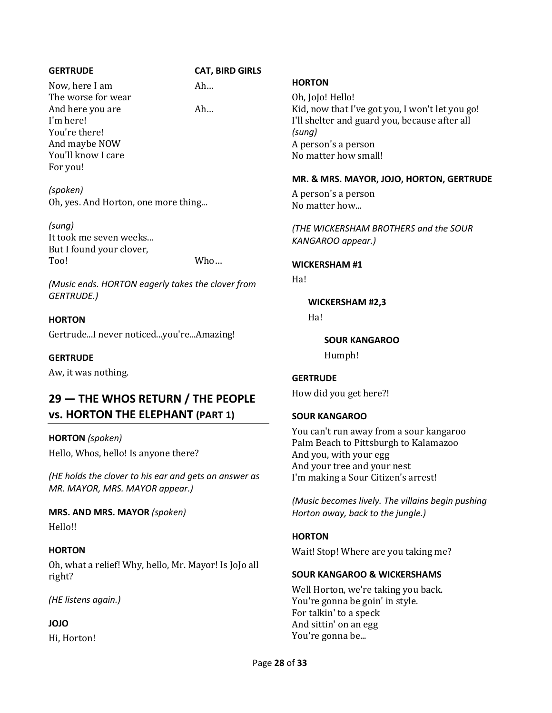Now, here I am Ah... The worse for wear And here you are Ah... I'm here! You're there! And maybe NOW You'll know I care For you!

**GERTRUDE CAT, BIRD GIRLS**

*(spoken)*

Oh, yes. And Horton, one more thing... *(sung)*

It took me seven weeks... But I found your clover,<br>Too! Too! Who…

*(Music ends. HORTON eagerly takes the clover from GERTRUDE.)*

#### **HORTON**

Gertrude...I never noticed...you're...Amazing!

#### **GERTRUDE**

Aw, it was nothing.

# <span id="page-27-0"></span>**29 — THE WHOS RETURN / THE PEOPLE vs. HORTON THE ELEPHANT (PART 1)**

#### **HORTON** *(spoken)*

Hello, Whos, hello! Is anyone there?

*(HE holds the clover to his ear and gets an answer as MR. MAYOR, MRS. MAYOR appear.)*

### **MRS. AND MRS. MAYOR** *(spoken)*

Hello!!

#### **HORTON**

Oh, what a relief! Why, hello, Mr. Mayor! Is JoJo all right?

*(HE listens again.)*

#### **JOJO**

Hi, Horton!

#### **HORTON**

Oh, JoJo! Hello! Kid, now that I've got you, I won't let you go! I'll shelter and guard you, because after all *(sung)* A person's a person No matter how small!

#### **MR. & MRS. MAYOR, JOJO, HORTON, GERTRUDE**

A person's a person No matter how...

*(THE WICKERSHAM BROTHERS and the SOUR KANGAROO appear.)*

#### **WICKERSHAM #1**

Ha!

**WICKERSHAM #2,3** Ha!

> **SOUR KANGAROO** Humph!

#### **GERTRUDE**

How did you get here?!

#### **SOUR KANGAROO**

You can't run away from a sour kangaroo Palm Beach to Pittsburgh to Kalamazoo And you, with your egg And your tree and your nest I'm making a Sour Citizen's arrest!

*(Music becomes lively. The villains begin pushing Horton away, back to the jungle.)*

#### **HORTON**

Wait! Stop! Where are you taking me?

#### **SOUR KANGAROO & WICKERSHAMS**

Well Horton, we're taking you back. You're gonna be goin' in style. For talkin' to a speck And sittin' on an egg You're gonna be...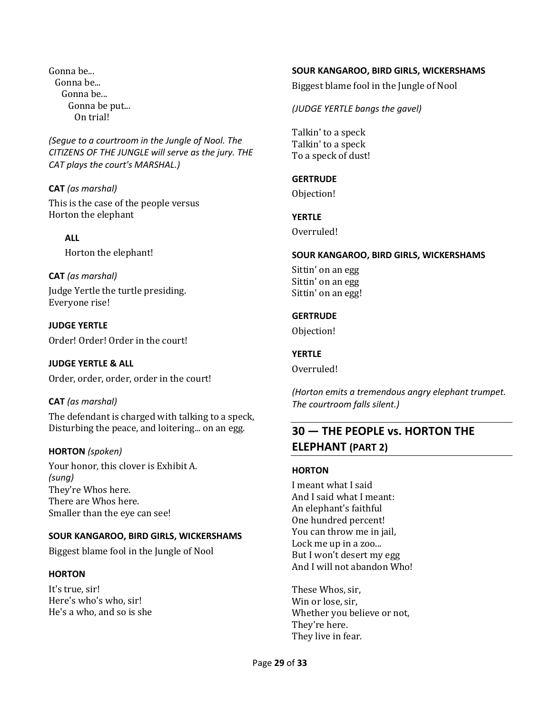Gonna be... Gonna be... Gonna be... Gonna be put... On trial!

*(Segue to a courtroom in the Jungle of Nool. The CITIZENS OF THE JUNGLE will serve as the jury. THE CAT plays the court's MARSHAL.)*

**CAT** *(as marshal)* This is the case of the people versus Horton the elephant

**ALL** Horton the elephant!

**CAT** *(as marshal)* Judge Yertle the turtle presiding. Everyone rise!

**JUDGE YERTLE**  Order! Order! Order in the court!

**JUDGE YERTLE & ALL**  Order, order, order, order in the court!

#### **CAT** *(as marshal)*

The defendant is charged with talking to a speck, Disturbing the peace, and loitering... on an egg.

#### **HORTON** *(spoken)*

Your honor, this clover is Exhibit A. *(sung)* They're Whos here. There are Whos here. Smaller than the eye can see!

#### **SOUR KANGAROO, BIRD GIRLS, WICKERSHAMS**

Biggest blame fool in the Jungle of Nool

#### **HORTON**

It's true, sir! Here's who's who, sir! He's a who, and so is she

#### **SOUR KANGAROO, BIRD GIRLS, WICKERSHAMS**

Biggest blame fool in the Jungle of Nool

*(JUDGE YERTLE bangs the gavel)* 

Talkin' to a speck Talkin' to a speck To a speck of dust!

#### **GERTRUDE**

Objection!

#### **YERTLE**

Overruled!

#### **SOUR KANGAROO, BIRD GIRLS, WICKERSHAMS**

Sittin' on an egg Sittin' on an egg Sittin' on an egg!

#### **GERTRUDE**

Objection!

#### **YERTLE**

Overruled!

*(Horton emits a tremendous angry elephant trumpet. The courtroom falls silent.)* 

# <span id="page-28-0"></span>**30 — THE PEOPLE vs. HORTON THE ELEPHANT (PART 2)**

#### **HORTON**

I meant what I said And I said what I meant: An elephant's faithful One hundred percent! You can throw me in jail, Lock me up in a zoo... But I won't desert my egg And I will not abandon Who!

These Whos, sir, Win or lose, sir, Whether you believe or not, They're here. They live in fear.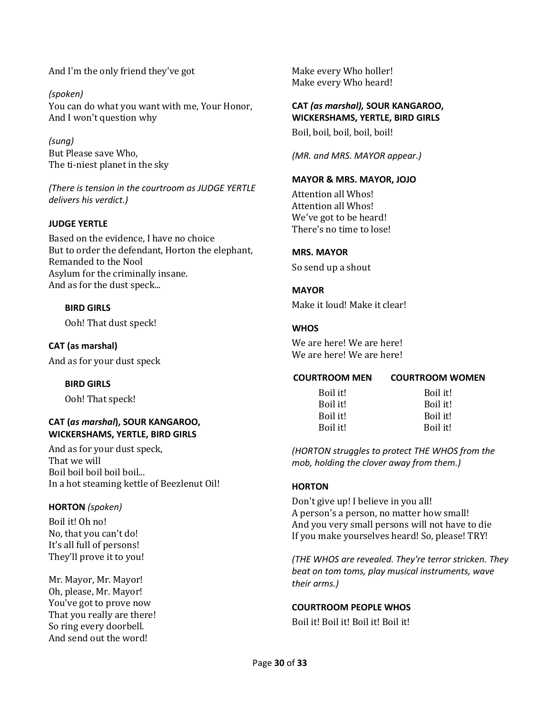And I'm the only friend they've got

*(spoken)* You can do what you want with me, Your Honor, And I won't question why

*(sung)* But Please save Who, The ti-niest planet in the sky

*(There is tension in the courtroom as JUDGE YERTLE delivers his verdict.)*

#### **JUDGE YERTLE**

Based on the evidence, I have no choice But to order the defendant, Horton the elephant, Remanded to the Nool Asylum for the criminally insane. And as for the dust speck...

#### **BIRD GIRLS**

Ooh! That dust speck!

**CAT (as marshal)** And as for your dust speck

#### **BIRD GIRLS**

Ooh! That speck!

#### **CAT (***as marshal***), SOUR KANGAROO, WICKERSHAMS, YERTLE, BIRD GIRLS**

And as for your dust speck, That we will Boil boil boil boil boil... In a hot steaming kettle of Beezlenut Oil!

#### **HORTON** *(spoken)*

Boil it! Oh no! No, that you can't do! It's all full of persons! They'll prove it to you!

Mr. Mayor, Mr. Mayor! Oh, please, Mr. Mayor! You've got to prove now That you really are there! So ring every doorbell. And send out the word!

Make every Who holler! Make every Who heard!

#### **CAT** *(as marshal),* **SOUR KANGAROO, WICKERSHAMS, YERTLE, BIRD GIRLS**

Boil, boil, boil, boil, boil!

*(MR. and MRS. MAYOR appear.)*

#### **MAYOR & MRS. MAYOR, JOJO**

Attention all Whos! Attention all Whos! We've got to be heard! There's no time to lose!

#### **MRS. MAYOR**

So send up a shout

#### **MAYOR**

Make it loud! Make it clear!

#### **WHOS**

We are here! We are here! We are here! We are here!

# **COURTROOM MEN COURTROOM WOMEN** Boil it!<br>Boil it!<br>Boil it!<br>Boil it!

Boil it!<br>Boil it!<br>Boil it!<br>Boil it! Boil it!<br>Boil it!<br>Boil it!<br>Boil it! Boil it!

*(HORTON struggles to protect THE WHOS from the mob, holding the clover away from them.)*

#### **HORTON**

Don't give up! I believe in you all! A person's a person, no matter how small! And you very small persons will not have to die If you make yourselves heard! So, please! TRY!

*(THE WHOS are revealed. They're terror stricken. They beat on tom toms, play musical instruments, wave their arms.)*

#### **COURTROOM PEOPLE WHOS**

Boil it! Boil it! Boil it! Boil it!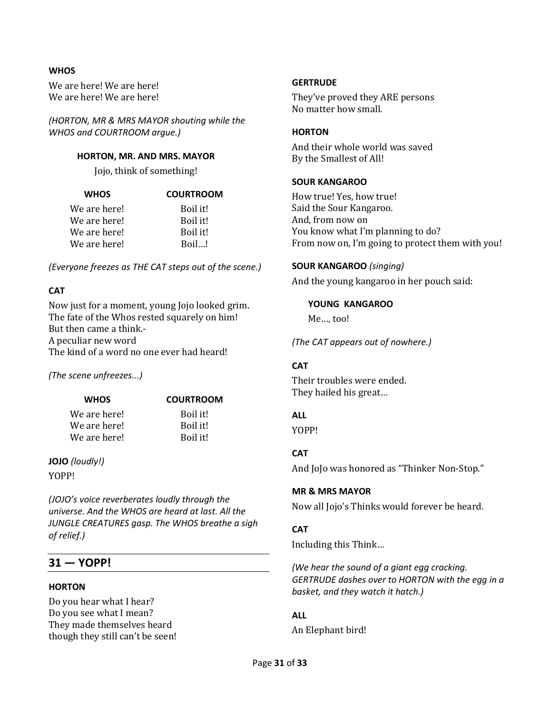#### **WHOS**

We are here! We are here! We are here! We are here!

*(HORTON, MR & MRS MAYOR shouting while the WHOS and COURTROOM argue.)*

#### **HORTON, MR. AND MRS. MAYOR**

Jojo, think of something!

| <b>WHOS</b>  | <b>COURTROOM</b> |
|--------------|------------------|
| We are here! | Boil it!         |
| We are here! | Boil it!         |
| We are here! | Boil it!         |
| We are here! | Boil!            |
|              |                  |

*(Everyone freezes as THE CAT steps out of the scene.)*

#### **CAT**

Now just for a moment, young Jojo looked grim. The fate of the Whos rested squarely on him! But then came a think.- A peculiar new word The kind of a word no one ever had heard!

*(The scene unfreezes...)*

We are here! Boil it!<br>We are here! Boil it! We are here! Boil it!<br>We are here! Boil it! We are here!

**WHOS COURTROOM**

**JOJO** *(loudly!)* YOPP!

*(JOJO's voice reverberates loudly through the universe. And the WHOS are heard at last. All the JUNGLE CREATURES gasp. The WHOS breathe a sigh of relief.)*

### <span id="page-30-0"></span>**31 — YOPP!**

#### **HORTON**

Do you hear what I hear? Do you see what I mean? They made themselves heard though they still can't be seen!

#### **GERTRUDE**

They've proved they ARE persons No matter how small.

#### **HORTON**

And their whole world was saved By the Smallest of All!

#### **SOUR KANGAROO**

How true! Yes, how true! Said the Sour Kangaroo. And, from now on You know what I'm planning to do? From now on, I'm going to protect them with you!

#### **SOUR KANGAROO** *(singing)*

And the young kangaroo in her pouch said:

#### **YOUNG KANGAROO**

Me…, too!

*(The CAT appears out of nowhere.)*

#### **CAT**

Their troubles were ended. They hailed his great…

#### **ALL**

YOPP!

#### **CAT**

And JoJo was honored as "Thinker Non-Stop."

#### **MR & MRS MAYOR**

Now all Jojo's Thinks would forever be heard.

#### **CAT**

Including this Think…

*(We hear the sound of a giant egg cracking. GERTRUDE dashes over to HORTON with the egg in a basket, and they watch it hatch.)*

#### **ALL**

An Elephant bird!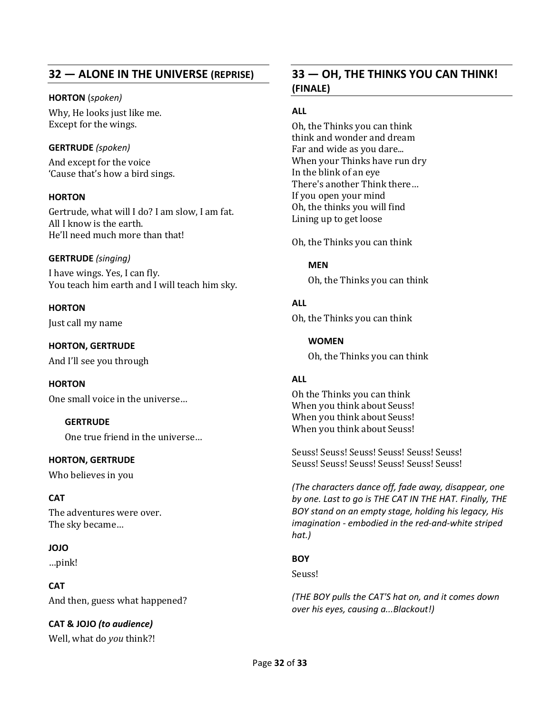# <span id="page-31-0"></span>**32 — ALONE IN THE UNIVERSE (REPRISE)**

#### **HORTON** (*spoken)*

Why, He looks just like me. Except for the wings.

#### **GERTRUDE** *(spoken)*

And except for the voice 'Cause that's how a bird sings.

#### **HORTON**

Gertrude, what will I do? I am slow, I am fat. All I know is the earth. He'll need much more than that!

#### **GERTRUDE** *(singing)*

I have wings. Yes, I can fly. You teach him earth and I will teach him sky.

**HORTON** Just call my name

**HORTON, GERTRUDE** And I'll see you through

**HORTON** One small voice in the universe…

> **GERTRUDE** One true friend in the universe…

#### **HORTON, GERTRUDE**

Who believes in you

#### **CAT**

The adventures were over. The sky became…

#### **JOJO**

…pink!

**CAT** And then, guess what happened?

# **CAT & JOJO** *(to audience)*

Well, what do *you* think?!

# <span id="page-31-1"></span>**33 — OH, THE THINKS YOU CAN THINK! (FINALE)**

#### **ALL**

Oh, the Thinks you can think think and wonder and dream Far and wide as you dare... When your Thinks have run dry In the blink of an eye There's another Think there… If you open your mind Oh, the thinks you will find Lining up to get loose

Oh, the Thinks you can think

**MEN** Oh, the Thinks you can think

**ALL**  Oh, the Thinks you can think

#### **WOMEN**

Oh, the Thinks you can think

### **ALL**

Oh the Thinks you can think When you think about Seuss! When you think about Seuss! When you think about Seuss!

Seuss! Seuss! Seuss! Seuss! Seuss! Seuss! Seuss! Seuss! Seuss! Seuss! Seuss! Seuss!

*(The characters dance off, fade away, disappear, one by one. Last to go is THE CAT IN THE HAT. Finally, THE BOY stand on an empty stage, holding his legacy, His imagination - embodied in the red-and-white striped hat.)*

#### **BOY**

Seuss!

*(THE BOY pulls the CAT'S hat on, and it comes down over his eyes, causing a...Blackout!)*